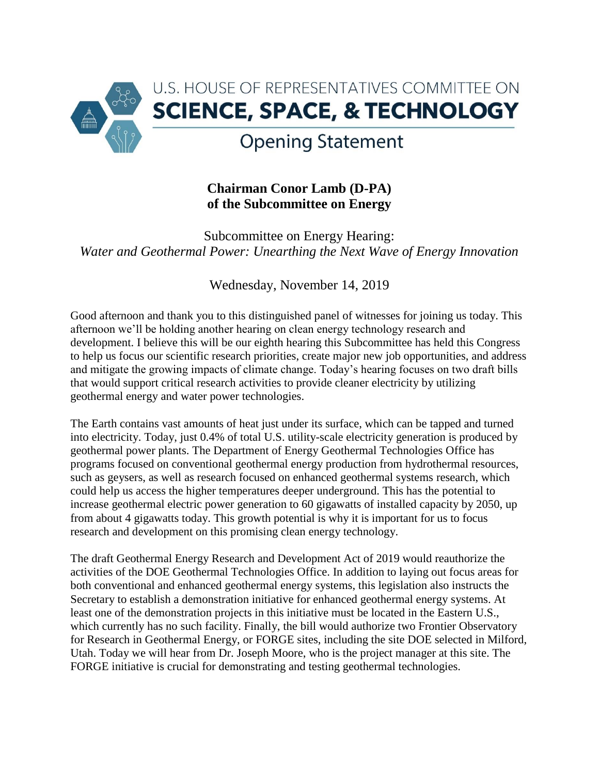

## **Chairman Conor Lamb (D-PA) of the Subcommittee on Energy**

Subcommittee on Energy Hearing: *Water and Geothermal Power: Unearthing the Next Wave of Energy Innovation*

## Wednesday, November 14, 2019

Good afternoon and thank you to this distinguished panel of witnesses for joining us today. This afternoon we'll be holding another hearing on clean energy technology research and development. I believe this will be our eighth hearing this Subcommittee has held this Congress to help us focus our scientific research priorities, create major new job opportunities, and address and mitigate the growing impacts of climate change. Today's hearing focuses on two draft bills that would support critical research activities to provide cleaner electricity by utilizing geothermal energy and water power technologies.

The Earth contains vast amounts of heat just under its surface, which can be tapped and turned into electricity. Today, just 0.4% of total U.S. utility-scale electricity generation is produced by geothermal power plants. The Department of Energy Geothermal Technologies Office has programs focused on conventional geothermal energy production from hydrothermal resources, such as geysers, as well as research focused on enhanced geothermal systems research, which could help us access the higher temperatures deeper underground. This has the potential to increase geothermal electric power generation to 60 gigawatts of installed capacity by 2050, up from about 4 gigawatts today. This growth potential is why it is important for us to focus research and development on this promising clean energy technology.

The draft Geothermal Energy Research and Development Act of 2019 would reauthorize the activities of the DOE Geothermal Technologies Office. In addition to laying out focus areas for both conventional and enhanced geothermal energy systems, this legislation also instructs the Secretary to establish a demonstration initiative for enhanced geothermal energy systems. At least one of the demonstration projects in this initiative must be located in the Eastern U.S., which currently has no such facility. Finally, the bill would authorize two Frontier Observatory for Research in Geothermal Energy, or FORGE sites, including the site DOE selected in Milford, Utah. Today we will hear from Dr. Joseph Moore, who is the project manager at this site. The FORGE initiative is crucial for demonstrating and testing geothermal technologies.